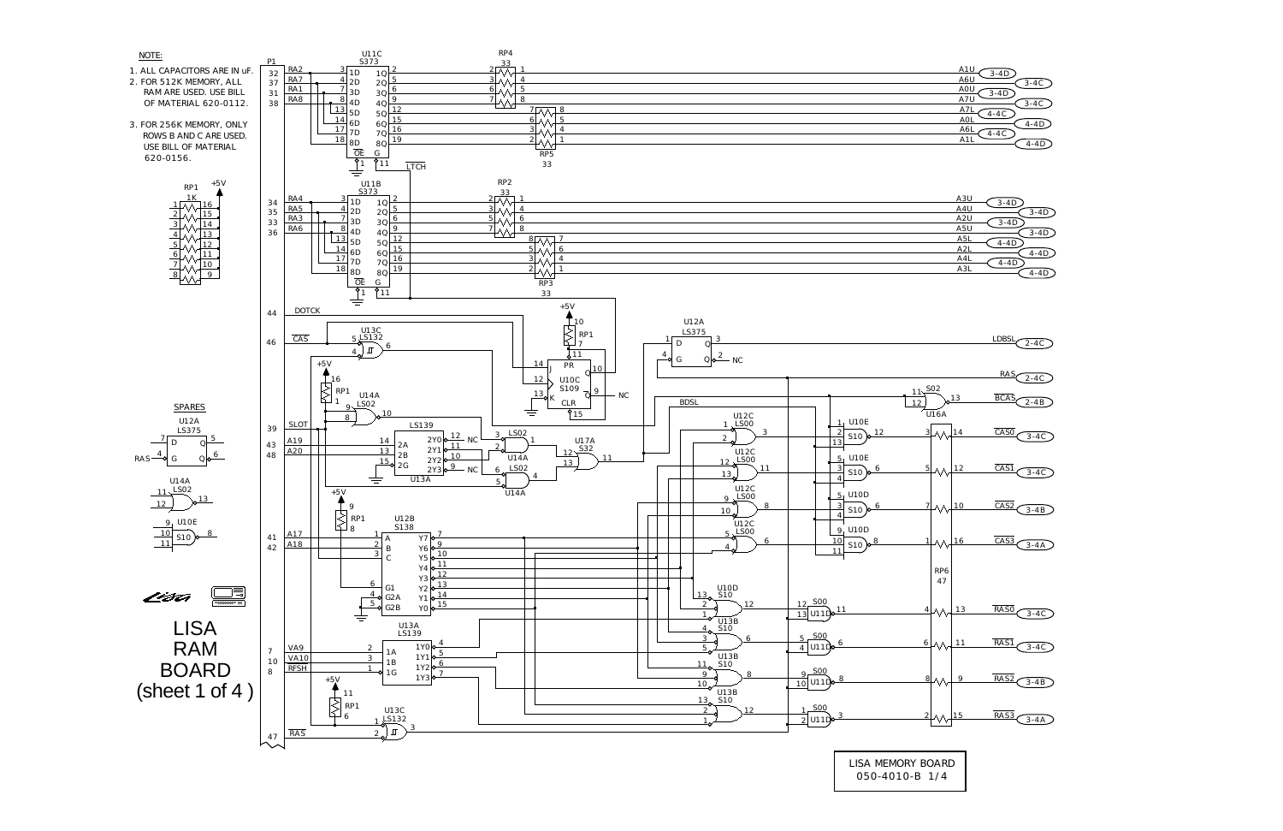

LISA MEMORY BOARD 050-4010-B 1/4

| A1U<br>$3-4D$   |          |
|-----------------|----------|
| A6U             | $3-4C$   |
| AOU<br>$3 - 4D$ |          |
| A7U             | $3-4C$   |
| A7l             |          |
| $4 - 4C$<br>AOI |          |
| A6l             | $4 - 4D$ |
| $4 - 4C$<br>A11 |          |
|                 | $4 - 4D$ |

| A3U              | $3-4D$   |
|------------------|----------|
| A4U              | $3-4D$   |
| A <sub>2</sub> U | $3-4D$   |
| A5U              | $3-4D$   |
| A5l              | $4 - 4D$ |
| A2L              | $4 - 4D$ |
| A4l              | $4 - 4D$ |
| A3l              | $4 - 4D$ |
|                  |          |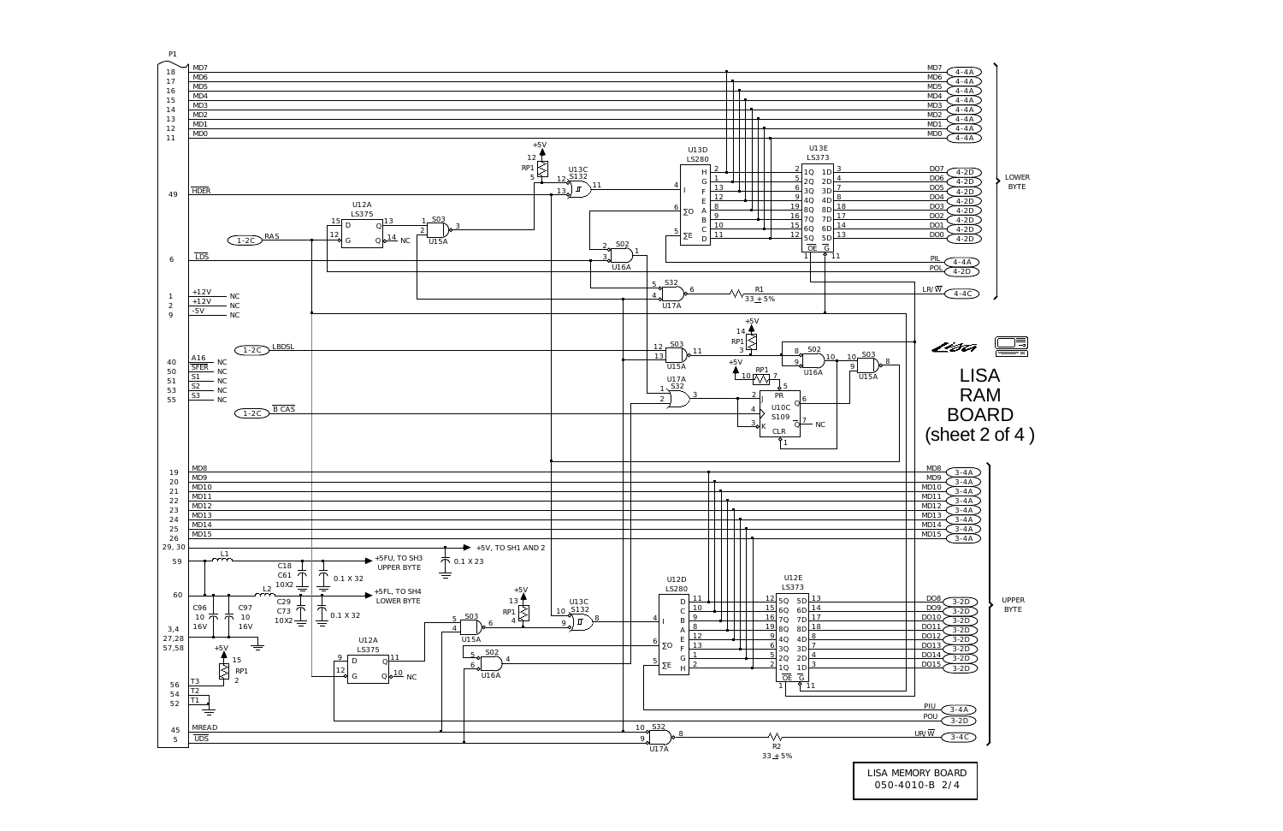

<sup>050-4010-</sup>B 2/4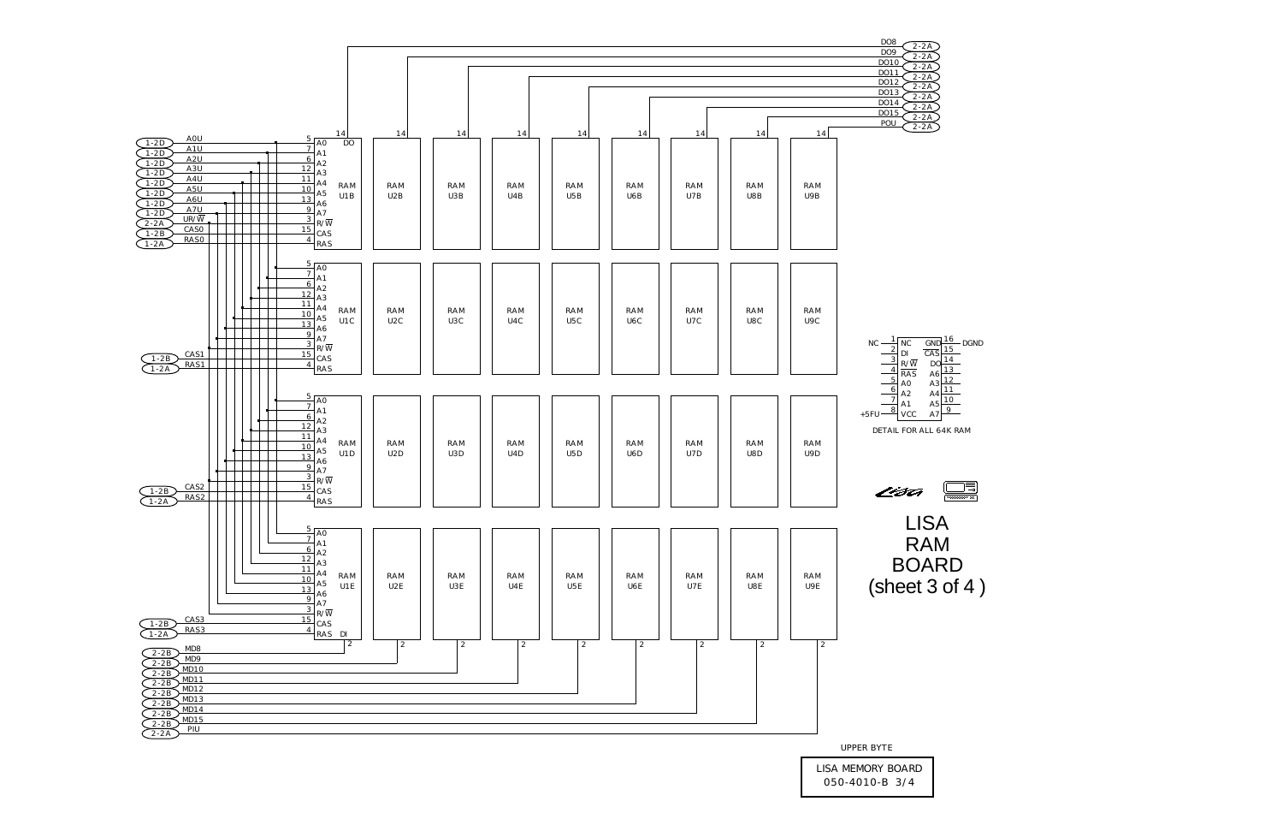

UPPER BYTE

LISA MEMORY BOARD 050-4010-B 3/4

| - L            |  |
|----------------|--|
| <u> 15  </u>   |  |
| 14             |  |
| <u> 13  </u>   |  |
| 12             |  |
| 11             |  |
| 10             |  |
| $\overline{9}$ |  |
|                |  |